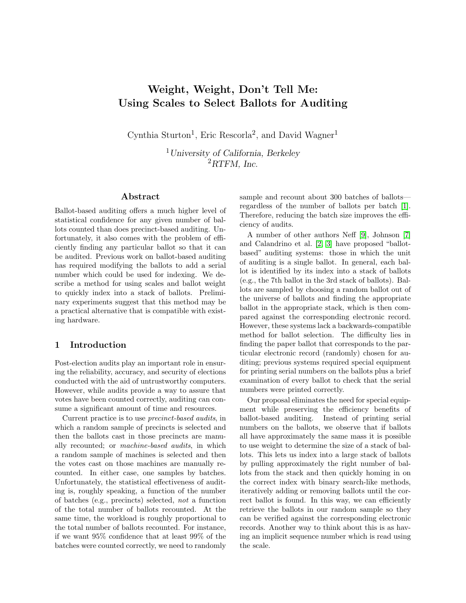# Weight, Weight, Don't Tell Me: Using Scales to Select Ballots for Auditing

Cynthia Sturton<sup>1</sup>, Eric Rescorla<sup>2</sup>, and David Wagner<sup>1</sup>

<sup>1</sup>University of California, Berkeley  ${}^{2}R$ TFM, Inc.

# Abstract

Ballot-based auditing offers a much higher level of statistical confidence for any given number of ballots counted than does precinct-based auditing. Unfortunately, it also comes with the problem of efficiently finding any particular ballot so that it can be audited. Previous work on ballot-based auditing has required modifying the ballots to add a serial number which could be used for indexing. We describe a method for using scales and ballot weight to quickly index into a stack of ballots. Preliminary experiments suggest that this method may be a practical alternative that is compatible with existing hardware.

#### 1 Introduction

Post-election audits play an important role in ensuring the reliability, accuracy, and security of elections conducted with the aid of untrustworthy computers. However, while audits provide a way to assure that votes have been counted correctly, auditing can consume a significant amount of time and resources.

Current practice is to use precinct-based audits, in which a random sample of precincts is selected and then the ballots cast in those precincts are manually recounted; or machine-based audits, in which a random sample of machines is selected and then the votes cast on those machines are manually recounted. In either case, one samples by batches. Unfortunately, the statistical effectiveness of auditing is, roughly speaking, a function of the number of batches (e.g., precincts) selected, not a function of the total number of ballots recounted. At the same time, the workload is roughly proportional to the total number of ballots recounted. For instance, if we want 95% confidence that at least 99% of the batches were counted correctly, we need to randomly sample and recount about 300 batches of ballots regardless of the number of ballots per batch [\[1\]](#page-13-0). Therefore, reducing the batch size improves the efficiency of audits.

A number of other authors Neff [\[9\]](#page-14-0), Johnson [\[7\]](#page-14-1) and Calandrino et al. [\[2,](#page-13-1) [3\]](#page-14-2) have proposed "ballotbased" auditing systems: those in which the unit of auditing is a single ballot. In general, each ballot is identified by its index into a stack of ballots (e.g., the 7th ballot in the 3rd stack of ballots). Ballots are sampled by choosing a random ballot out of the universe of ballots and finding the appropriate ballot in the appropriate stack, which is then compared against the corresponding electronic record. However, these systems lack a backwards-compatible method for ballot selection. The difficulty lies in finding the paper ballot that corresponds to the particular electronic record (randomly) chosen for auditing; previous systems required special equipment for printing serial numbers on the ballots plus a brief examination of every ballot to check that the serial numbers were printed correctly.

Our proposal eliminates the need for special equipment while preserving the efficiency benefits of ballot-based auditing. Instead of printing serial numbers on the ballots, we observe that if ballots all have approximately the same mass it is possible to use weight to determine the size of a stack of ballots. This lets us index into a large stack of ballots by pulling approximately the right number of ballots from the stack and then quickly homing in on the correct index with binary search-like methods, iteratively adding or removing ballots until the correct ballot is found. In this way, we can efficiently retrieve the ballots in our random sample so they can be verified against the corresponding electronic records. Another way to think about this is as having an implicit sequence number which is read using the scale.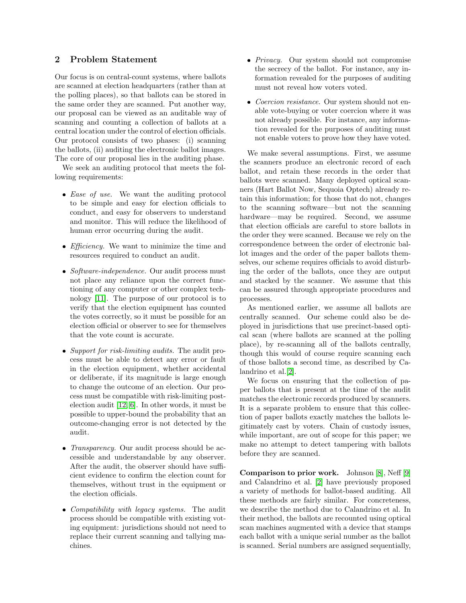# <span id="page-1-0"></span>2 Problem Statement

Our focus is on central-count systems, where ballots are scanned at election headquarters (rather than at the polling places), so that ballots can be stored in the same order they are scanned. Put another way, our proposal can be viewed as an auditable way of scanning and counting a collection of ballots at a central location under the control of election officials. Our protocol consists of two phases: (i) scanning the ballots, (ii) auditing the electronic ballot images. The core of our proposal lies in the auditing phase.

We seek an auditing protocol that meets the following requirements:

- $\bullet$  *Ease of use.* We want the auditing protocol to be simple and easy for election officials to conduct, and easy for observers to understand and monitor. This will reduce the likelihood of human error occurring during the audit.
- *Efficiency*. We want to minimize the time and resources required to conduct an audit.
- Software-independence. Our audit process must not place any reliance upon the correct functioning of any computer or other complex technology [\[11\]](#page-14-3). The purpose of our protocol is to verify that the election equipment has counted the votes correctly, so it must be possible for an election official or observer to see for themselves that the vote count is accurate.
- Support for risk-limiting audits. The audit process must be able to detect any error or fault in the election equipment, whether accidental or deliberate, if its magnitude is large enough to change the outcome of an election. Our process must be compatible with risk-limiting postelection audit [\[12,](#page-14-4) [6\]](#page-14-5). In other words, it must be possible to upper-bound the probability that an outcome-changing error is not detected by the audit.
- *Transparency*. Our audit process should be accessible and understandable by any observer. After the audit, the observer should have sufficient evidence to confirm the election count for themselves, without trust in the equipment or the election officials.
- *Compatibility with legacy systems*. The audit process should be compatible with existing voting equipment: jurisdictions should not need to replace their current scanning and tallying machines.
- Privacy. Our system should not compromise the secrecy of the ballot. For instance, any information revealed for the purposes of auditing must not reveal how voters voted.
- Coercion resistance. Our system should not enable vote-buying or voter coercion where it was not already possible. For instance, any information revealed for the purposes of auditing must not enable voters to prove how they have voted.

We make several assumptions. First, we assume the scanners produce an electronic record of each ballot, and retain these records in the order that ballots were scanned. Many deployed optical scanners (Hart Ballot Now, Sequoia Optech) already retain this information; for those that do not, changes to the scanning software—but not the scanning hardware—may be required. Second, we assume that election officials are careful to store ballots in the order they were scanned. Because we rely on the correspondence between the order of electronic ballot images and the order of the paper ballots themselves, our scheme requires officials to avoid disturbing the order of the ballots, once they are output and stacked by the scanner. We assume that this can be assured through appropriate procedures and processes.

As mentioned earlier, we assume all ballots are centrally scanned. Our scheme could also be deployed in jurisdictions that use precinct-based optical scan (where ballots are scanned at the polling place), by re-scanning all of the ballots centrally, though this would of course require scanning each of those ballots a second time, as described by Calandrino et al.[\[2\]](#page-13-1).

We focus on ensuring that the collection of paper ballots that is present at the time of the audit matches the electronic records produced by scanners. It is a separate problem to ensure that this collection of paper ballots exactly matches the ballots legitimately cast by voters. Chain of custody issues, while important, are out of scope for this paper; we make no attempt to detect tampering with ballots before they are scanned.

Comparison to prior work. Johnson [\[8\]](#page-14-6), Neff [\[9\]](#page-14-0) and Calandrino et al. [\[2\]](#page-13-1) have previously proposed a variety of methods for ballot-based auditing. All these methods are fairly similar. For concreteness, we describe the method due to Calandrino et al. In their method, the ballots are recounted using optical scan machines augmented with a device that stamps each ballot with a unique serial number as the ballot is scanned. Serial numbers are assigned sequentially,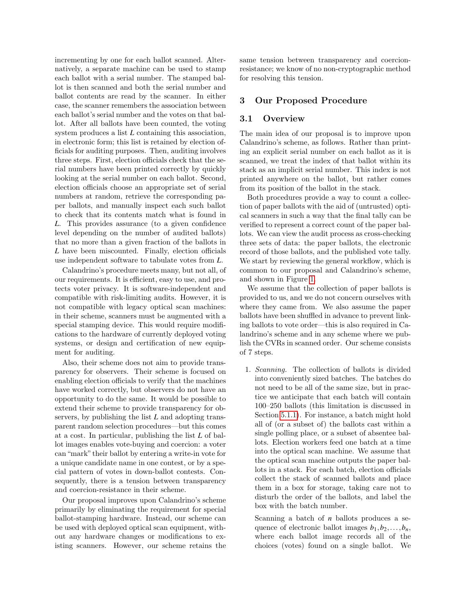incrementing by one for each ballot scanned. Alternatively, a separate machine can be used to stamp each ballot with a serial number. The stamped ballot is then scanned and both the serial number and ballot contents are read by the scanner. In either case, the scanner remembers the association between each ballot's serial number and the votes on that ballot. After all ballots have been counted, the voting system produces a list *L* containing this association, in electronic form; this list is retained by election officials for auditing purposes. Then, auditing involves three steps. First, election officials check that the serial numbers have been printed correctly by quickly looking at the serial number on each ballot. Second, election officials choose an appropriate set of serial numbers at random, retrieve the corresponding paper ballots, and manually inspect each such ballot to check that its contents match what is found in *L*. This provides assurance (to a given confidence level depending on the number of audited ballots) that no more than a given fraction of the ballots in *L* have been miscounted. Finally, election officials use independent software to tabulate votes from *L*.

Calandrino's procedure meets many, but not all, of our requirements. It is efficient, easy to use, and protects voter privacy. It is software-independent and compatible with risk-limiting audits. However, it is not compatible with legacy optical scan machines: in their scheme, scanners must be augmented with a special stamping device. This would require modifications to the hardware of currently deployed voting systems, or design and certification of new equipment for auditing.

Also, their scheme does not aim to provide transparency for observers. Their scheme is focused on enabling election officials to verify that the machines have worked correctly, but observers do not have an opportunity to do the same. It would be possible to extend their scheme to provide transparency for observers, by publishing the list *L* and adopting transparent random selection procedures—but this comes at a cost. In particular, publishing the list *L* of ballot images enables vote-buying and coercion: a voter can "mark" their ballot by entering a write-in vote for a unique candidate name in one contest, or by a special pattern of votes in down-ballot contests. Consequently, there is a tension between transparency and coercion-resistance in their scheme.

Our proposal improves upon Calandrino's scheme primarily by eliminating the requirement for special ballot-stamping hardware. Instead, our scheme can be used with deployed optical scan equipment, without any hardware changes or modifications to existing scanners. However, our scheme retains the same tension between transparency and coercionresistance; we know of no non-cryptographic method for resolving this tension.

## 3 Our Proposed Procedure

#### 3.1 Overview

The main idea of our proposal is to improve upon Calandrino's scheme, as follows. Rather than printing an explicit serial number on each ballot as it is scanned, we treat the index of that ballot within its stack as an implicit serial number. This index is not printed anywhere on the ballot, but rather comes from its position of the ballot in the stack.

Both procedures provide a way to count a collection of paper ballots with the aid of (untrusted) optical scanners in such a way that the final tally can be verified to represent a correct count of the paper ballots. We can view the audit process as cross-checking three sets of data: the paper ballots, the electronic record of those ballots, and the published vote tally. We start by reviewing the general workflow, which is common to our proposal and Calandrino's scheme, and shown in Figure [1.](#page-4-0)

We assume that the collection of paper ballots is provided to us, and we do not concern ourselves with where they came from. We also assume the paper ballots have been shuffled in advance to prevent linking ballots to vote order—this is also required in Calandrino's scheme and in any scheme where we publish the CVRs in scanned order. Our scheme consists of 7 steps.

1. Scanning. The collection of ballots is divided into conveniently sized batches. The batches do not need to be all of the same size, but in practice we anticipate that each batch will contain 100–250 ballots (this limitation is discussed in Section [5.1.1\)](#page-9-0). For instance, a batch might hold all of (or a subset of) the ballots cast within a single polling place, or a subset of absentee ballots. Election workers feed one batch at a time into the optical scan machine. We assume that the optical scan machine outputs the paper ballots in a stack. For each batch, election officials collect the stack of scanned ballots and place them in a box for storage, taking care not to disturb the order of the ballots, and label the box with the batch number.

Scanning a batch of *n* ballots produces a sequence of electronic ballot images  $b_1, b_2, \ldots, b_n$ , where each ballot image records all of the choices (votes) found on a single ballot. We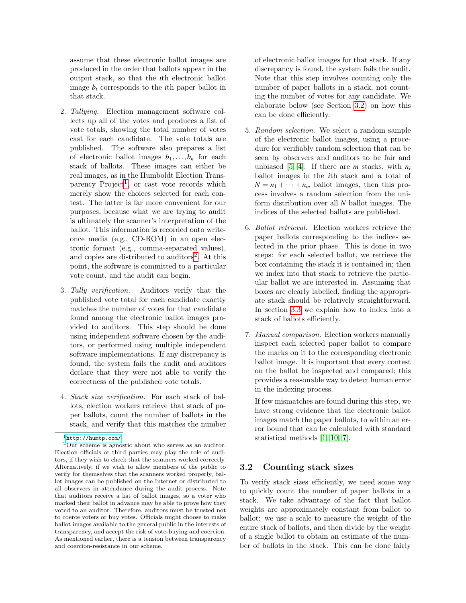assume that these electronic ballot images are produced in the order that ballots appear in the output stack, so that the *i*th electronic ballot image  $b_i$  corresponds to the *i*th paper ballot in that stack.

- 2. Tallying. Election management software collects up all of the votes and produces a list of vote totals, showing the total number of votes cast for each candidate. The vote totals are published. The software also prepares a list of electronic ballot images  $b_1, \ldots, b_n$  for each stack of ballots. These images can either be real images, as in the Humboldt Election Trans-parency Project<sup>[1](#page-3-0)</sup>, or cast vote records which merely show the choices selected for each contest. The latter is far more convenient for our purposes, because what we are trying to audit is ultimately the scanner's interpretation of the ballot. This information is recorded onto writeonce media (e.g., CD-ROM) in an open electronic format (e.g., comma-separated values), and copies are distributed to auditors<sup>[2](#page-3-1)</sup>. At this point, the software is committed to a particular vote count, and the audit can begin.
- 3. Tally verification. Auditors verify that the published vote total for each candidate exactly matches the number of votes for that candidate found among the electronic ballot images provided to auditors. This step should be done using independent software chosen by the auditors, or performed using multiple independent software implementations. If any discrepancy is found, the system fails the audit and auditors declare that they were not able to verify the correctness of the published vote totals.
- <span id="page-3-3"></span>4. Stack size verification. For each stack of ballots, election workers retrieve that stack of paper ballots, count the number of ballots in the stack, and verify that this matches the number

of electronic ballot images for that stack. If any discrepancy is found, the system fails the audit. Note that this step involves counting only the number of paper ballots in a stack, not counting the number of votes for any candidate. We elaborate below (see Section [3.2\)](#page-3-2) on how this can be done efficiently.

- 5. Random selection. We select a random sample of the electronic ballot images, using a procedure for verifiably random selection that can be seen by observers and auditors to be fair and unbiased [\[5,](#page-14-7) [4\]](#page-14-8). If there are *m* stacks, with  $n_i$ ballot images in the *i*th stack and a total of  $N = n_1 + \cdots + n_m$  ballot images, then this process involves a random selection from the uniform distribution over all *N* ballot images. The indices of the selected ballots are published.
- <span id="page-3-4"></span>6. Ballot retrieval. Election workers retrieve the paper ballots corresponding to the indices selected in the prior phase. This is done in two steps: for each selected ballot, we retrieve the box containing the stack it is contained in; then we index into that stack to retrieve the particular ballot we are interested in. Assuming that boxes are clearly labelled, finding the appropriate stack should be relatively straightforward. In section [3.3](#page-4-1) we explain how to index into a stack of ballots efficiently.
- <span id="page-3-5"></span>7. Manual comparison. Election workers manually inspect each selected paper ballot to compare the marks on it to the corresponding electronic ballot image. It is important that every contest on the ballot be inspected and compared; this provides a reasonable way to detect human error in the indexing process.

If few mismatches are found during this step, we have strong evidence that the electronic ballot images match the paper ballots, to within an error bound that can be calculated with standard statistical methods [\[1,](#page-13-0) [10,](#page-14-9) [7\]](#page-14-1).

## <span id="page-3-2"></span>3.2 Counting stack sizes

To verify stack sizes efficiently, we need some way to quickly count the number of paper ballots in a stack. We take advantage of the fact that ballot weights are approximately constant from ballot to ballot: we use a scale to measure the weight of the entire stack of ballots, and then divide by the weight of a single ballot to obtain an estimate of the number of ballots in the stack. This can be done fairly

<span id="page-3-1"></span><span id="page-3-0"></span> $1$ <http://humtp.com/>

<sup>2</sup>Our scheme is agnostic about who serves as an auditor. Election officials or third parties may play the role of auditors, if they wish to check that the scanners worked correctly. Alternatively, if we wish to allow members of the public to verify for themselves that the scanners worked properly, ballot images can be published on the Internet or distributed to all observers in attendance during the audit process. Note that auditors receive a list of ballot images, so a voter who marked their ballot in advance may be able to prove how they voted to an auditor. Therefore, auditors must be trusted not to coerce voters or buy votes. Officials might choose to make ballot images available to the general public in the interests of transparency, and accept the risk of vote-buying and coercion. As mentioned earlier, there is a tension between transparency and coercion-resistance in our scheme.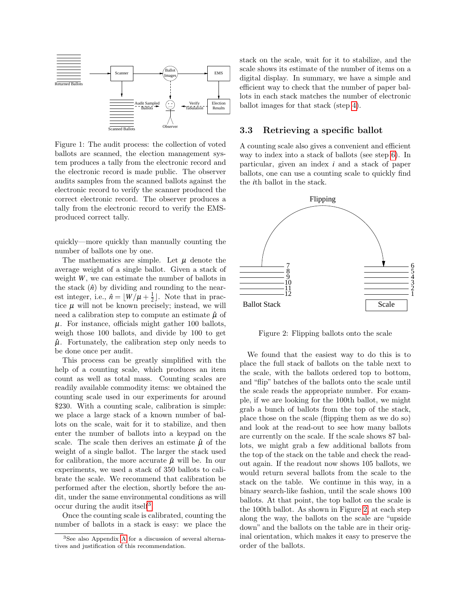

<span id="page-4-0"></span>Figure 1: The audit process: the collection of voted ballots are scanned, the election management system produces a tally from the electronic record and the electronic record is made public. The observer audits samples from the scanned ballots against the electronic record to verify the scanner produced the correct electronic record. The observer produces a tally from the electronic record to verify the EMSproduced correct tally.

quickly—more quickly than manually counting the number of ballots one by one.

The mathematics are simple. Let  $\mu$  denote the average weight of a single ballot. Given a stack of weight *W*, we can estimate the number of ballots in the stack  $(\hat{n})$  by dividing and rounding to the nearest integer, i.e.,  $\hat{n} = \lfloor W/\mu + \frac{1}{2} \rfloor$ . Note that in practice  $\mu$  will not be known precisely; instead, we will need a calibration step to compute an estimate  $\hat{\mu}$  of  $\mu$ . For instance, officials might gather 100 ballots, weigh those 100 ballots, and divide by 100 to get  $\hat{\mu}$ . Fortunately, the calibration step only needs to be done once per audit.

This process can be greatly simplified with the help of a counting scale, which produces an item count as well as total mass. Counting scales are readily available commodity items: we obtained the counting scale used in our experiments for around \$230. With a counting scale, calibration is simple: we place a large stack of a known number of ballots on the scale, wait for it to stabilize, and then enter the number of ballots into a keypad on the scale. The scale then derives an estimate  $\hat{\mu}$  of the weight of a single ballot. The larger the stack used for calibration, the more accurate  $\hat{\mu}$  will be. In our experiments, we used a stack of 350 ballots to calibrate the scale. We recommend that calibration be performed after the election, shortly before the audit, under the same environmental conditions as will occur during the audit itself<sup>[3](#page-4-2)</sup>.

Once the counting scale is calibrated, counting the number of ballots in a stack is easy: we place the stack on the scale, wait for it to stabilize, and the scale shows its estimate of the number of items on a digital display. In summary, we have a simple and efficient way to check that the number of paper ballots in each stack matches the number of electronic ballot images for that stack (step [4\)](#page-3-3).

## <span id="page-4-1"></span>3.3 Retrieving a specific ballot

A counting scale also gives a convenient and efficient way to index into a stack of ballots (see step [6\)](#page-3-4). In particular, given an index *i* and a stack of paper ballots, one can use a counting scale to quickly find the *i*th ballot in the stack.



<span id="page-4-3"></span>Figure 2: Flipping ballots onto the scale

We found that the easiest way to do this is to place the full stack of ballots on the table next to the scale, with the ballots ordered top to bottom, and "flip" batches of the ballots onto the scale until the scale reads the appropriate number. For example, if we are looking for the 100th ballot, we might grab a bunch of ballots from the top of the stack, place those on the scale (flipping them as we do so) and look at the read-out to see how many ballots are currently on the scale. If the scale shows 87 ballots, we might grab a few additional ballots from the top of the stack on the table and check the readout again. If the readout now shows 105 ballots, we would return several ballots from the scale to the stack on the table. We continue in this way, in a binary search-like fashion, until the scale shows 100 ballots. At that point, the top ballot on the scale is the 100th ballot. As shown in Figure [2,](#page-4-3) at each step along the way, the ballots on the scale are "upside down" and the ballots on the table are in their original orientation, which makes it easy to preserve the order of the ballots.

<span id="page-4-2"></span><sup>3</sup>See also Appendix [A](#page-14-10) for a discussion of several alternatives and justification of this recommendation.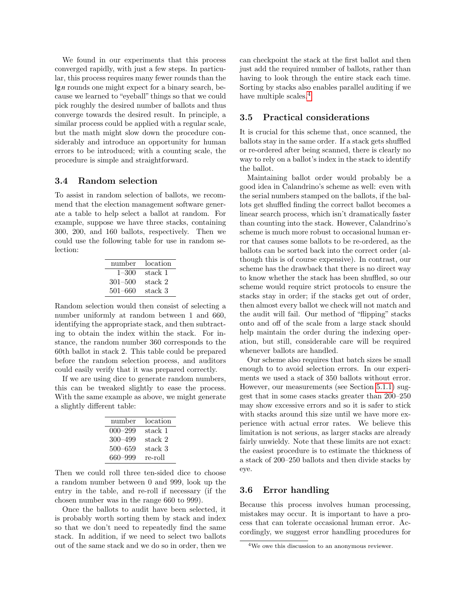We found in our experiments that this process converged rapidly, with just a few steps. In particular, this process requires many fewer rounds than the lg*n* rounds one might expect for a binary search, because we learned to "eyeball" things so that we could pick roughly the desired number of ballots and thus converge towards the desired result. In principle, a similar process could be applied with a regular scale, but the math might slow down the procedure considerably and introduce an opportunity for human errors to be introduced; with a counting scale, the procedure is simple and straightforward.

#### 3.4 Random selection

To assist in random selection of ballots, we recommend that the election management software generate a table to help select a ballot at random. For example, suppose we have three stacks, containing 300, 200, and 160 ballots, respectively. Then we could use the following table for use in random selection:

| number      | location |
|-------------|----------|
| $1 - 300$   | stack 1  |
| $301 - 500$ | stack 2  |
| $501 - 660$ | stack 3  |
|             |          |

Random selection would then consist of selecting a number uniformly at random between 1 and 660, identifying the appropriate stack, and then subtracting to obtain the index within the stack. For instance, the random number 360 corresponds to the 60th ballot in stack 2. This table could be prepared before the random selection process, and auditors could easily verify that it was prepared correctly.

If we are using dice to generate random numbers, this can be tweaked slightly to ease the process. With the same example as above, we might generate a slightly different table:

| number      | location |
|-------------|----------|
| $000 - 299$ | stack 1  |
| $300 - 499$ | stack 2  |
| $500 - 659$ | stack 3  |
| 660-999     | re-roll  |

Then we could roll three ten-sided dice to choose a random number between 0 and 999, look up the entry in the table, and re-roll if necessary (if the chosen number was in the range 660 to 999).

Once the ballots to audit have been selected, it is probably worth sorting them by stack and index so that we don't need to repeatedly find the same stack. In addition, if we need to select two ballots out of the same stack and we do so in order, then we can checkpoint the stack at the first ballot and then just add the required number of ballots, rather than having to look through the entire stack each time. Sorting by stacks also enables parallel auditing if we have multiple scales.<sup>[4](#page-5-0)</sup>

## 3.5 Practical considerations

It is crucial for this scheme that, once scanned, the ballots stay in the same order. If a stack gets shuffled or re-ordered after being scanned, there is clearly no way to rely on a ballot's index in the stack to identify the ballot.

Maintaining ballot order would probably be a good idea in Calandrino's scheme as well: even with the serial numbers stamped on the ballots, if the ballots get shuffled finding the correct ballot becomes a linear search process, which isn't dramatically faster than counting into the stack. However, Calandrino's scheme is much more robust to occasional human error that causes some ballots to be re-ordered, as the ballots can be sorted back into the correct order (although this is of course expensive). In contrast, our scheme has the drawback that there is no direct way to know whether the stack has been shuffled, so our scheme would require strict protocols to ensure the stacks stay in order; if the stacks get out of order, then almost every ballot we check will not match and the audit will fail. Our method of "flipping" stacks onto and off of the scale from a large stack should help maintain the order during the indexing operation, but still, considerable care will be required whenever ballots are handled.

Our scheme also requires that batch sizes be small enough to to avoid selection errors. In our experiments we used a stack of 350 ballots without error. However, our measurements (see Section [5.1.1\)](#page-9-0) suggest that in some cases stacks greater than 200–250 may show excessive errors and so it is safer to stick with stacks around this size until we have more experience with actual error rates. We believe this limitation is not serious, as larger stacks are already fairly unwieldy. Note that these limits are not exact: the easiest procedure is to estimate the thickness of a stack of 200–250 ballots and then divide stacks by eye.

## <span id="page-5-1"></span>3.6 Error handling

Because this process involves human processing, mistakes may occur. It is important to have a process that can tolerate occasional human error. Accordingly, we suggest error handling procedures for

<span id="page-5-0"></span><sup>4</sup>We owe this discussion to an anonymous reviewer.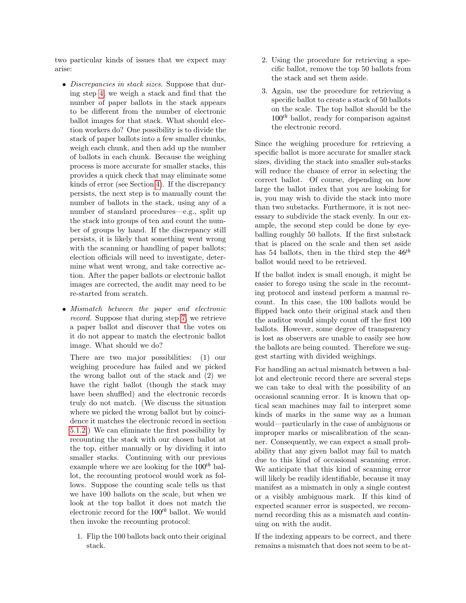two particular kinds of issues that we expect may arise:

- Discrepancies in stack sizes. Suppose that during step [4,](#page-3-3) we weigh a stack and find that the number of paper ballots in the stack appears to be different from the number of electronic ballot images for that stack. What should election workers do? One possibility is to divide the stack of paper ballots into a few smaller chunks, weigh each chunk, and then add up the number of ballots in each chunk. Because the weighing process is more accurate for smaller stacks, this provides a quick check that may eliminate some kinds of error (see Section [4\)](#page-7-0). If the discrepancy persists, the next step is to manually count the number of ballots in the stack, using any of a number of standard procedures—e.g., split up the stack into groups of ten and count the number of groups by hand. If the discrepancy still persists, it is likely that something went wrong with the scanning or handling of paper ballots; election officials will need to investigate, determine what went wrong, and take corrective action. After the paper ballots or electronic ballot images are corrected, the audit may need to be re-started from scratch.
- Mismatch between the paper and electronic record. Suppose that during step [7,](#page-3-5) we retrieve a paper ballot and discover that the votes on it do not appear to match the electronic ballot image. What should we do?

There are two major possibilities: (1) our weighing procedure has failed and we picked the wrong ballot out of the stack and (2) we have the right ballot (though the stack may have been shuffled) and the electronic records truly do not match. (We discuss the situation where we picked the wrong ballot but by coincidence it matches the electronic record in section [5.1.2.](#page-10-0)) We can eliminate the first possibility by recounting the stack with our chosen ballot at the top, either manually or by dividing it into smaller stacks. Continuing with our previous example where we are looking for the 100*th* ballot, the recounting protocol would work as follows. Suppose the counting scale tells us that we have 100 ballots on the scale, but when we look at the top ballot it does not match the electronic record for the 100*th* ballot. We would then invoke the recounting protocol:

1. Flip the 100 ballots back onto their original stack.

- 2. Using the procedure for retrieving a specific ballot, remove the top 50 ballots from the stack and set them aside.
- 3. Again, use the procedure for retrieving a specific ballot to create a stack of 50 ballots on the scale. The top ballot should be the 100*th* ballot, ready for comparison against the electronic record.

Since the weighing procedure for retrieving a specific ballot is more accurate for smaller stack sizes, dividing the stack into smaller sub-stacks will reduce the chance of error in selecting the correct ballot. Of course, depending on how large the ballot index that you are looking for is, you may wish to divide the stack into more than two substacks. Furthermore, it is not necessary to subdivide the stack evenly. In our example, the second step could be done by eyeballing roughly 50 ballots. If the first substack that is placed on the scale and then set aside has 54 ballots, then in the third step the 46*th* ballot would need to be retrieved.

If the ballot index is small enough, it might be easier to forego using the scale in the recounting protocol and instead perform a manual recount. In this case, the 100 ballots would be flipped back onto their original stack and then the auditor would simply count off the first 100 ballots. However, some degree of transparency is lost as observers are unable to easily see how the ballots are being counted. Therefore we suggest starting with divided weighings.

For handling an actual mismatch between a ballot and electronic record there are several steps we can take to deal with the possibility of an occasional scanning error. It is known that optical scan machines may fail to interpret some kinds of marks in the same way as a human would—particularly in the case of ambiguous or improper marks or miscalibration of the scanner. Consequently, we can expect a small probability that any given ballot may fail to match due to this kind of occasional scanning error. We anticipate that this kind of scanning error will likely be readily identifiable, because it may manifest as a mismatch in only a single contest or a visibly ambiguous mark. If this kind of expected scanner error is suspected, we recommend recording this as a mismatch and continuing on with the audit.

If the indexing appears to be correct, and there remains a mismatch that does not seem to be at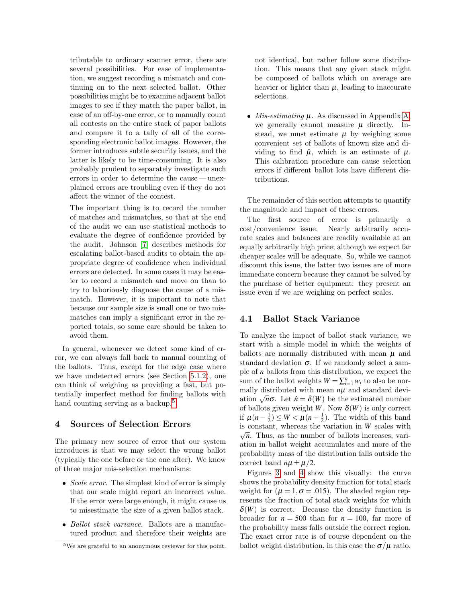tributable to ordinary scanner error, there are several possibilities. For ease of implementation, we suggest recording a mismatch and continuing on to the next selected ballot. Other possibilities might be to examine adjacent ballot images to see if they match the paper ballot, in case of an off-by-one error, or to manually count all contests on the entire stack of paper ballots and compare it to a tally of all of the corresponding electronic ballot images. However, the former introduces subtle security issues, and the latter is likely to be time-consuming. It is also probably prudent to separately investigate such errors in order to determine the cause — unexplained errors are troubling even if they do not affect the winner of the contest.

The important thing is to record the number of matches and mismatches, so that at the end of the audit we can use statistical methods to evaluate the degree of confidence provided by the audit. Johnson [\[7\]](#page-14-1) describes methods for escalating ballot-based audits to obtain the appropriate degree of confidence when individual errors are detected. In some cases it may be easier to record a mismatch and move on than to try to laboriously diagnose the cause of a mismatch. However, it is important to note that because our sample size is small one or two mismatches can imply a significant error in the reported totals, so some care should be taken to avoid them.

In general, whenever we detect some kind of error, we can always fall back to manual counting of the ballots. Thus, except for the edge case where we have undetected errors (see Section [5.1.2\)](#page-10-0), one can think of weighing as providing a fast, but potentially imperfect method for finding ballots with hand counting serving as a backup.<sup>[5](#page-7-1)</sup>

#### <span id="page-7-0"></span>4 Sources of Selection Errors

The primary new source of error that our system introduces is that we may select the wrong ballot (typically the one before or the one after). We know of three major mis-selection mechanisms:

- $\bullet$  *Scale error*. The simplest kind of error is simply that our scale might report an incorrect value. If the error were large enough, it might cause us to misestimate the size of a given ballot stack.
- Ballot stack variance. Ballots are a manufactured product and therefore their weights are

not identical, but rather follow some distribution. This means that any given stack might be composed of ballots which on average are heavier or lighter than  $\mu$ , leading to inaccurate selections.

• Mis-estimating  $\mu$ . As discussed in Appendix [A,](#page-14-10) we generally cannot measure  $\mu$  directly. Instead, we must estimate  $\mu$  by weighing some convenient set of ballots of known size and dividing to find  $\hat{\mu}$ , which is an estimate of  $\mu$ . This calibration procedure can cause selection errors if different ballot lots have different distributions.

The remainder of this section attempts to quantify the magnitude and impact of these errors.

The first source of error is primarily a cost/convenience issue. Nearly arbitrarily accurate scales and balances are readily available at an equally arbitrarily high price; although we expect far cheaper scales will be adequate. So, while we cannot discount this issue, the latter two issues are of more immediate concern because they cannot be solved by the purchase of better equipment: they present an issue even if we are weighing on perfect scales.

#### 4.1 Ballot Stack Variance

To analyze the impact of ballot stack variance, we start with a simple model in which the weights of ballots are normally distributed with mean  $\mu$  and standard deviation  $\sigma$ . If we randomly select a sample of *n* ballots from this distribution, we expect the sum of the ballot weights  $W = \sum_{i=1}^{n} w_i$  to also be normally distributed with mean  $n\mu$  and standard devimany distributed with mean  $n\mu$  and standard deviation  $\sqrt{n}\sigma$ . Let  $\hat{n} = \delta(W)$  be the estimated number of ballots given weight *W*. Now  $\delta(W)$  is only correct if  $\mu(n-\frac{1}{2}) \leq W < \mu(n+\frac{1}{2})$ . The width of this band is constant, whereas the variation in  $W$  scales with  $\subset \mathbb{R}^n$  $\sqrt{n}$ . Thus, as the number of ballots increases, variation in ballot weight accumulates and more of the probability mass of the distribution falls outside the correct band  $n\mu \pm \mu/2$ .

Figures [3](#page-8-0) and [4](#page-8-1) show this visually: the curve shows the probability density function for total stack weight for  $(\mu = 1, \sigma = .015)$ . The shaded region represents the fraction of total stack weights for which  $\delta(W)$  is correct. Because the density function is broader for  $n = 500$  than for  $n = 100$ , far more of the probability mass falls outside the correct region. The exact error rate is of course dependent on the ballot weight distribution, in this case the  $\sigma/\mu$  ratio.

<span id="page-7-1"></span><sup>5</sup>We are grateful to an anonymous reviewer for this point.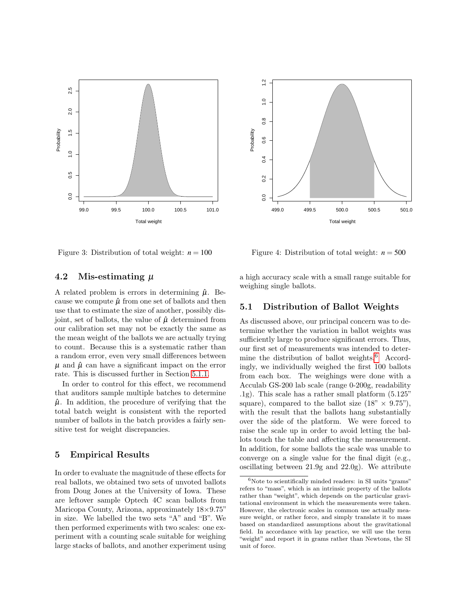



<span id="page-8-0"></span>Figure 3: Distribution of total weight:  $n = 100$ 

#### 4.2 Mis-estimating  $\mu$

A related problem is errors in determining  $\hat{\mu}$ . Because we compute  $\hat{\mu}$  from one set of ballots and then use that to estimate the size of another, possibly disjoint, set of ballots, the value of  $\hat{\mu}$  determined from our calibration set may not be exactly the same as the mean weight of the ballots we are actually trying to count. Because this is a systematic rather than a random error, even very small differences between  $\mu$  and  $\hat{\mu}$  can have a significant impact on the error rate. This is discussed further in Section [5.1.1.](#page-9-0)

In order to control for this effect, we recommend that auditors sample multiple batches to determine  $\hat{\mu}$ . In addition, the procedure of verifying that the total batch weight is consistent with the reported number of ballots in the batch provides a fairly sensitive test for weight discrepancies.

## 5 Empirical Results

In order to evaluate the magnitude of these effects for real ballots, we obtained two sets of unvoted ballots from Doug Jones at the University of Iowa. These are leftover sample Optech 4C scan ballots from Maricopa County, Arizona, approximately 18×9.75" in size. We labelled the two sets "A" and "B". We then performed experiments with two scales: one experiment with a counting scale suitable for weighing large stacks of ballots, and another experiment using

<span id="page-8-1"></span>Figure 4: Distribution of total weight:  $n = 500$ 

a high accuracy scale with a small range suitable for weighing single ballots.

## 5.1 Distribution of Ballot Weights

As discussed above, our principal concern was to determine whether the variation in ballot weights was sufficiently large to produce significant errors. Thus, our first set of measurements was intended to determine the distribution of ballot weights. $6$  Accordingly, we individually weighed the first 100 ballots from each box. The weighings were done with a Acculab GS-200 lab scale (range 0-200g, readability .1g). This scale has a rather small platform (5.125" square), compared to the ballot size  $(18" \times 9.75")$ , with the result that the ballots hang substantially over the side of the platform. We were forced to raise the scale up in order to avoid letting the ballots touch the table and affecting the measurement. In addition, for some ballots the scale was unable to converge on a single value for the final digit (e.g., oscillating between 21.9g and 22.0g). We attribute

<span id="page-8-2"></span> $6$ Note to scientifically minded readers: in SI units "grams" refers to "mass", which is an intrinsic property of the ballots rather than "weight", which depends on the particular gravitational environment in which the measurements were taken. However, the electronic scales in common use actually measure weight, or rather force, and simply translate it to mass based on standardized assumptions about the gravitational field. In accordance with lay practice, we will use the term "weight" and report it in grams rather than Newtons, the SI unit of force.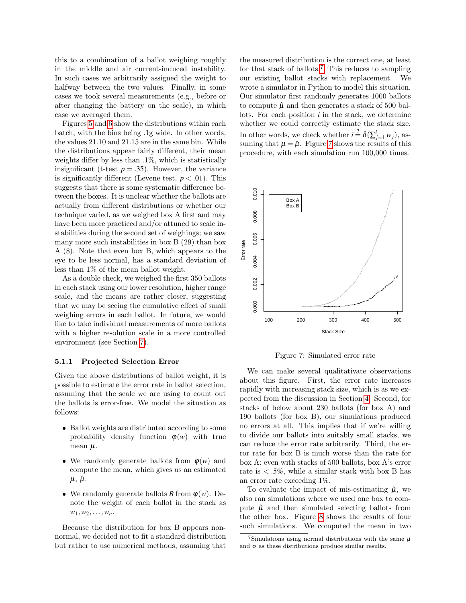this to a combination of a ballot weighing roughly in the middle and air current-induced instability. In such cases we arbitrarily assigned the weight to halfway between the two values. Finally, in some cases we took several measurements (e.g., before or after changing the battery on the scale), in which case we averaged them.

Figures [5](#page-10-1) and [6](#page-10-2) show the distributions within each batch, with the bins being .1g wide. In other words, the values 21.10 and 21.15 are in the same bin. While the distributions appear fairly different, their mean weights differ by less than  $.1\%$ , which is statistically insignificant (t-test  $p = .35$ ). However, the variance is significantly different (Levene test,  $p < .01$ ). This suggests that there is some systematic difference between the boxes. It is unclear whether the ballots are actually from different distributions or whether our technique varied, as we weighed box A first and may have been more practiced and/or attuned to scale instabilities during the second set of weighings; we saw many more such instabilities in box B (29) than box A (8). Note that even box B, which appears to the eye to be less normal, has a standard deviation of less than 1% of the mean ballot weight.

As a double check, we weighed the first 350 ballots in each stack using our lower resolution, higher range scale, and the means are rather closer, suggesting that we may be seeing the cumulative effect of small weighing errors in each ballot. In future, we would like to take individual measurements of more ballots with a higher resolution scale in a more controlled environment (see Section [7\)](#page-13-2).

#### <span id="page-9-0"></span>5.1.1 Projected Selection Error

Given the above distributions of ballot weight, it is possible to estimate the error rate in ballot selection, assuming that the scale we are using to count out the ballots is error-free. We model the situation as follows:

- Ballot weights are distributed according to some probability density function  $\varphi(w)$  with true mean  $\mu$ .
- We randomly generate ballots from  $\varphi(w)$  and compute the mean, which gives us an estimated  $\mu$ ,  $\hat{\mu}$ .
- We randomly generate ballots *B* from  $\varphi(w)$ . Denote the weight of each ballot in the stack as  $w_1, w_2, \ldots, w_n$

Because the distribution for box B appears nonnormal, we decided not to fit a standard distribution but rather to use numerical methods, assuming that the measured distribution is the correct one, at least for that stack of ballots.[7](#page-9-1) This reduces to sampling our existing ballot stacks with replacement. We wrote a simulator in Python to model this situation. Our simulator first randomly generates 1000 ballots to compute  $\hat{\mu}$  and then generates a stack of 500 ballots. For each position *i* in the stack, we determine whether we could correctly estimate the stack size. In other words, we check whether  $i \stackrel{?}{=} \delta(\sum_{j=1}^{i} w_j)$ , assuming that  $\mu = \hat{\mu}$ . Figure [7](#page-9-2) shows the results of this procedure, with each simulation run 100,000 times.



<span id="page-9-2"></span>Figure 7: Simulated error rate

We can make several qualitativate observations about this figure. First, the error rate increases rapidly with increasing stack size, which is as we expected from the discussion in Section [4.](#page-7-0) Second, for stacks of below about 230 ballots (for box A) and 190 ballots (for box B), our simulations produced no errors at all. This implies that if we're willing to divide our ballots into suitably small stacks, we can reduce the error rate arbitrarily. Third, the error rate for box B is much worse than the rate for box A: even with stacks of 500 ballots, box A's error rate is  $\langle .5\%, \text{ while a similar stack with box B has} \rangle$ an error rate exceeding 1%.

To evaluate the impact of mis-estimating  $\hat{\mu}$ , we also ran simulations where we used one box to compute  $\hat{\mu}$  and then simulated selecting ballots from the other box. Figure [8](#page-10-3) shows the results of four such simulations. We computed the mean in two

<span id="page-9-1"></span><sup>&</sup>lt;sup>7</sup>Simulations using normal distributions with the same  $\mu$ and  $\sigma$  as these distributions produce similar results.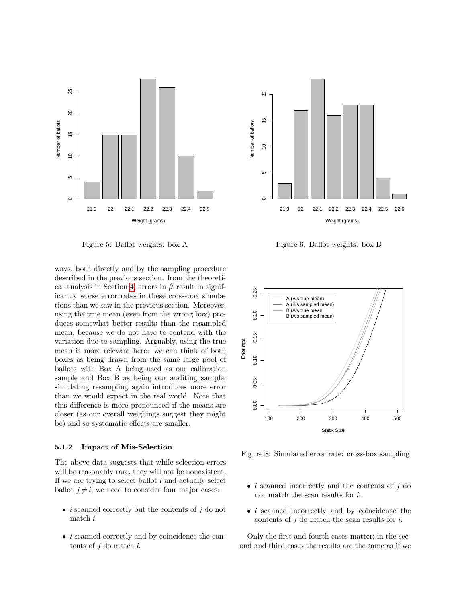

<span id="page-10-1"></span>Figure 5: Ballot weights: box A

ways, both directly and by the sampling procedure described in the previous section. from the theoreti-cal analysis in Section [4,](#page-7-0) errors in  $\hat{\mu}$  result in significantly worse error rates in these cross-box simulations than we saw in the previous section. Moreover, using the true mean (even from the wrong box) produces somewhat better results than the resampled mean, because we do not have to contend with the variation due to sampling. Arguably, using the true mean is more relevant here: we can think of both boxes as being drawn from the same large pool of ballots with Box A being used as our calibration sample and Box B as being our auditing sample; simulating resampling again introduces more error than we would expect in the real world. Note that this difference is more pronounced if the means are closer (as our overall weighings suggest they might be) and so systematic effects are smaller.

#### <span id="page-10-0"></span>5.1.2 Impact of Mis-Selection

The above data suggests that while selection errors will be reasonably rare, they will not be nonexistent. If we are trying to select ballot *i* and actually select ballot  $j \neq i$ , we need to consider four major cases:

- $\bullet$  *i* scanned correctly but the contents of *j* do not match *i*.
- $\bullet\,$   $i$  scanned correctly and by coincidence the contents of *j* do match *i*.



<span id="page-10-2"></span>Figure 6: Ballot weights: box B



<span id="page-10-3"></span>Figure 8: Simulated error rate: cross-box sampling

- $\bullet$  *i* scanned incorrectly and the contents of *j* do not match the scan results for *i*.
- *i* scanned incorrectly and by coincidence the contents of *j* do match the scan results for *i*.

Only the first and fourth cases matter; in the second and third cases the results are the same as if we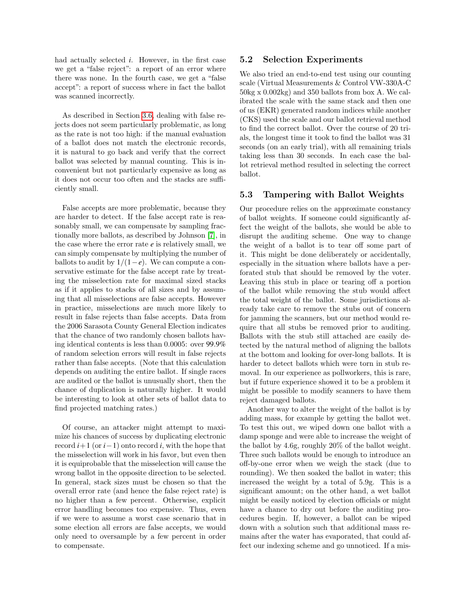had actually selected *i*. However, in the first case we get a "false reject": a report of an error where there was none. In the fourth case, we get a "false accept": a report of success where in fact the ballot was scanned incorrectly.

As described in Section [3.6,](#page-5-1) dealing with false rejects does not seem particularly problematic, as long as the rate is not too high: if the manual evaluation of a ballot does not match the electronic records, it is natural to go back and verify that the correct ballot was selected by manual counting. This is inconvenient but not particularly expensive as long as it does not occur too often and the stacks are sufficiently small.

False accepts are more problematic, because they are harder to detect. If the false accept rate is reasonably small, we can compensate by sampling fractionally more ballots, as described by Johnson [\[7\]](#page-14-1), in the case where the error rate *e* is relatively small, we can simply compensate by multiplying the number of ballots to audit by  $1/(1-e)$ . We can compute a conservative estimate for the false accept rate by treating the misselection rate for maximal sized stacks as if it applies to stacks of all sizes and by assuming that all misselections are false accepts. However in practice, misselections are much more likely to result in false rejects than false accepts. Data from the 2006 Sarasota County General Election indicates that the chance of two randomly chosen ballots having identical contents is less than 0.0005: over 99.9% of random selection errors will result in false rejects rather than false accepts. (Note that this calculation depends on auditing the entire ballot. If single races are audited or the ballot is unusually short, then the chance of duplication is naturally higher. It would be interesting to look at other sets of ballot data to find projected matching rates.)

Of course, an attacker might attempt to maximize his chances of success by duplicating electronic record  $i+1$  (or  $i-1$ ) onto record  $i$ , with the hope that the misselection will work in his favor, but even then it is equiprobable that the misselection will cause the wrong ballot in the opposite direction to be selected. In general, stack sizes must be chosen so that the overall error rate (and hence the false reject rate) is no higher than a few percent. Otherwise, explicit error handling becomes too expensive. Thus, even if we were to assume a worst case scenario that in some election all errors are false accepts, we would only need to oversample by a few percent in order to compensate.

#### 5.2 Selection Experiments

We also tried an end-to-end test using our counting scale (Virtual Measurements & Control VW-330A-C 50kg x 0.002kg) and 350 ballots from box A. We calibrated the scale with the same stack and then one of us (EKR) generated random indices while another (CKS) used the scale and our ballot retrieval method to find the correct ballot. Over the course of 20 trials, the longest time it took to find the ballot was 31 seconds (on an early trial), with all remaining trials taking less than 30 seconds. In each case the ballot retrieval method resulted in selecting the correct ballot.

#### 5.3 Tampering with Ballot Weights

Our procedure relies on the approximate constancy of ballot weights. If someone could significantly affect the weight of the ballots, she would be able to disrupt the auditing scheme. One way to change the weight of a ballot is to tear off some part of it. This might be done deliberately or accidentally, especially in the situation where ballots have a perforated stub that should be removed by the voter. Leaving this stub in place or tearing off a portion of the ballot while removing the stub would affect the total weight of the ballot. Some jurisdictions already take care to remove the stubs out of concern for jamming the scanners, but our method would require that all stubs be removed prior to auditing. Ballots with the stub still attached are easily detected by the natural method of aligning the ballots at the bottom and looking for over-long ballots. It is harder to detect ballots which were torn in stub removal. In our experience as pollworkers, this is rare, but if future experience showed it to be a problem it might be possible to modify scanners to have them reject damaged ballots.

Another way to alter the weight of the ballot is by adding mass, for example by getting the ballot wet. To test this out, we wiped down one ballot with a damp sponge and were able to increase the weight of the ballot by 4.6g, roughly 20% of the ballot weight. Three such ballots would be enough to introduce an off-by-one error when we weigh the stack (due to rounding). We then soaked the ballot in water; this increased the weight by a total of 5.9g. This is a significant amount; on the other hand, a wet ballot might be easily noticed by election officials or might have a chance to dry out before the auditing procedures begin. If, however, a ballot can be wiped down with a solution such that additional mass remains after the water has evaporated, that could affect our indexing scheme and go unnoticed. If a mis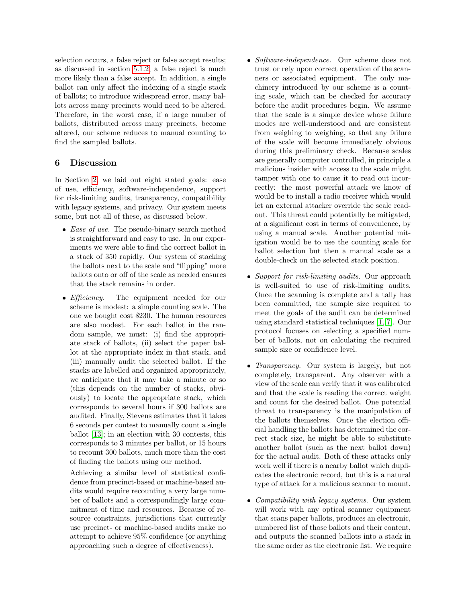selection occurs, a false reject or false accept results; as discussed in section [5.1.2,](#page-10-0) a false reject is much more likely than a false accept. In addition, a single ballot can only affect the indexing of a single stack of ballots; to introduce widespread error, many ballots across many precincts would need to be altered. Therefore, in the worst case, if a large number of ballots, distributed across many precincts, become altered, our scheme reduces to manual counting to find the sampled ballots.

# 6 Discussion

In Section [2,](#page-1-0) we laid out eight stated goals: ease of use, efficiency, software-independence, support for risk-limiting audits, transparency, compatibility with legacy systems, and privacy. Our system meets some, but not all of these, as discussed below.

- $\bullet$  *Ease of use.* The pseudo-binary search method is straightforward and easy to use. In our experiments we were able to find the correct ballot in a stack of 350 rapidly. Our system of stacking the ballots next to the scale and "flipping" more ballots onto or off of the scale as needed ensures that the stack remains in order.
- $\bullet$  *Efficiency.* The equipment needed for our scheme is modest: a simple counting scale. The one we bought cost \$230. The human resources are also modest. For each ballot in the random sample, we must: (i) find the appropriate stack of ballots, (ii) select the paper ballot at the appropriate index in that stack, and (iii) manually audit the selected ballot. If the stacks are labelled and organized appropriately, we anticipate that it may take a minute or so (this depends on the number of stacks, obviously) to locate the appropriate stack, which corresponds to several hours if 300 ballots are audited. Finally, Stevens estimates that it takes 6 seconds per contest to manually count a single ballot [\[13\]](#page-14-11); in an election with 30 contests, this corresponds to 3 minutes per ballot, or 15 hours to recount 300 ballots, much more than the cost of finding the ballots using our method.

Achieving a similar level of statistical confidence from precinct-based or machine-based audits would require recounting a very large number of ballots and a correspondingly large commitment of time and resources. Because of resource constraints, jurisdictions that currently use precinct- or machine-based audits make no attempt to achieve 95% confidence (or anything approaching such a degree of effectiveness).

- Software-independence. Our scheme does not trust or rely upon correct operation of the scanners or associated equipment. The only machinery introduced by our scheme is a counting scale, which can be checked for accuracy before the audit procedures begin. We assume that the scale is a simple device whose failure modes are well-understood and are consistent from weighing to weighing, so that any failure of the scale will become immediately obvious during this preliminary check. Because scales are generally computer controlled, in principle a malicious insider with access to the scale might tamper with one to cause it to read out incorrectly: the most powerful attack we know of would be to install a radio receiver which would let an external attacker override the scale readout. This threat could potentially be mitigated, at a significant cost in terms of convenience, by using a manual scale. Another potential mitigation would be to use the counting scale for ballot selection but then a manual scale as a double-check on the selected stack position.
- Support for risk-limiting audits. Our approach is well-suited to use of risk-limiting audits. Once the scanning is complete and a tally has been committed, the sample size required to meet the goals of the audit can be determined using standard statistical techniques [\[1,](#page-13-0) [7\]](#page-14-1). Our protocol focuses on selecting a specified number of ballots, not on calculating the required sample size or confidence level.
- Transparency. Our system is largely, but not completely, transparent. Any observer with a view of the scale can verify that it was calibrated and that the scale is reading the correct weight and count for the desired ballot. One potential threat to transparency is the manipulation of the ballots themselves. Once the election official handling the ballots has determined the correct stack size, he might be able to substitute another ballot (such as the next ballot down) for the actual audit. Both of these attacks only work well if there is a nearby ballot which duplicates the electronic record, but this is a natural type of attack for a malicious scanner to mount.
- Compatibility with legacy systems. Our system will work with any optical scanner equipment that scans paper ballots, produces an electronic, numbered list of those ballots and their content, and outputs the scanned ballots into a stack in the same order as the electronic list. We require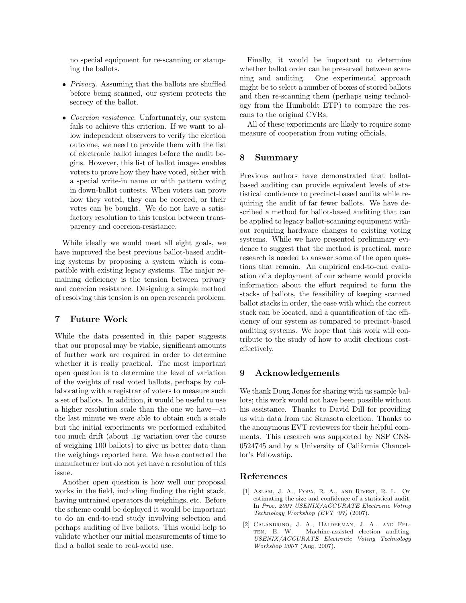no special equipment for re-scanning or stamping the ballots.

- Privacy. Assuming that the ballots are shuffled before being scanned, our system protects the secrecy of the ballot.
- Coercion resistance. Unfortunately, our system fails to achieve this criterion. If we want to allow independent observers to verify the election outcome, we need to provide them with the list of electronic ballot images before the audit begins. However, this list of ballot images enables voters to prove how they have voted, either with a special write-in name or with pattern voting in down-ballot contests. When voters can prove how they voted, they can be coerced, or their votes can be bought. We do not have a satisfactory resolution to this tension between transparency and coercion-resistance.

While ideally we would meet all eight goals, we have improved the best previous ballot-based auditing systems by proposing a system which is compatible with existing legacy systems. The major remaining deficiency is the tension between privacy and coercion resistance. Designing a simple method of resolving this tension is an open research problem.

## <span id="page-13-2"></span>7 Future Work

While the data presented in this paper suggests that our proposal may be viable, significant amounts of further work are required in order to determine whether it is really practical. The most important open question is to determine the level of variation of the weights of real voted ballots, perhaps by collaborating with a registrar of voters to measure such a set of ballots. In addition, it would be useful to use a higher resolution scale than the one we have—at the last minute we were able to obtain such a scale but the initial experiments we performed exhibited too much drift (about .1g variation over the course of weighing 100 ballots) to give us better data than the weighings reported here. We have contacted the manufacturer but do not yet have a resolution of this issue.

Another open question is how well our proposal works in the field, including finding the right stack, having untrained operators do weighings, etc. Before the scheme could be deployed it would be important to do an end-to-end study involving selection and perhaps auditing of live ballots. This would help to validate whether our initial measurements of time to find a ballot scale to real-world use.

Finally, it would be important to determine whether ballot order can be preserved between scanning and auditing. One experimental approach might be to select a number of boxes of stored ballots and then re-scanning them (perhaps using technology from the Humboldt ETP) to compare the rescans to the original CVRs.

All of these experiments are likely to require some measure of cooperation from voting officials.

# 8 Summary

Previous authors have demonstrated that ballotbased auditing can provide equivalent levels of statistical confidence to precinct-based audits while requiring the audit of far fewer ballots. We have described a method for ballot-based auditing that can be applied to legacy ballot-scanning equipment without requiring hardware changes to existing voting systems. While we have presented preliminary evidence to suggest that the method is practical, more research is needed to answer some of the open questions that remain. An empirical end-to-end evaluation of a deployment of our scheme would provide information about the effort required to form the stacks of ballots, the feasibility of keeping scanned ballot stacks in order, the ease with which the correct stack can be located, and a quantification of the efficiency of our system as compared to precinct-based auditing systems. We hope that this work will contribute to the study of how to audit elections costeffectively.

#### 9 Acknowledgements

We thank Doug Jones for sharing with us sample ballots; this work would not have been possible without his assistance. Thanks to David Dill for providing us with data from the Sarasota election. Thanks to the anonymous EVT reviewers for their helpful comments. This research was supported by NSF CNS-0524745 and by a University of California Chancellor's Fellowship.

#### References

- <span id="page-13-0"></span>[1] Aslam, J. A., Popa, R. A., and Rivest, R. L. On estimating the size and confidence of a statistical audit. In Proc. 2007 USENIX/ACCURATE Electronic Voting Technology Workshop (EVT '07) (2007).
- <span id="page-13-1"></span>[2] Calandrino, J. A., Halderman, J. A., and Fel-TEN, E. W. Machine-assisted election auditing. USENIX/ACCURATE Electronic Voting Technology Workshop 2007 (Aug. 2007).